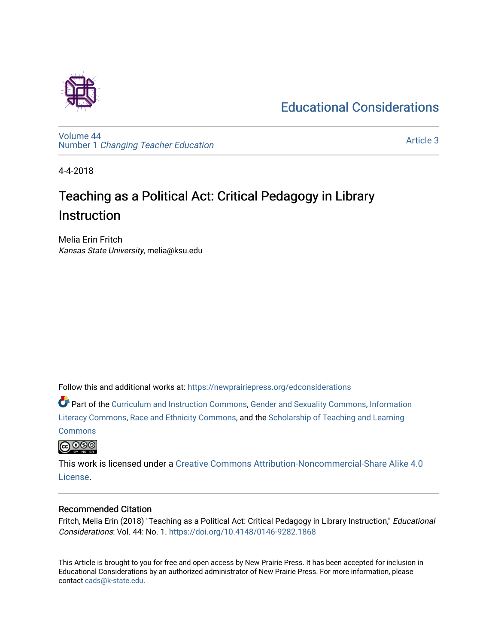# [Educational Considerations](https://newprairiepress.org/edconsiderations)



[Volume 44](https://newprairiepress.org/edconsiderations/vol44) Number 1 [Changing Teacher Education](https://newprairiepress.org/edconsiderations/vol44/iss1) 

[Article 3](https://newprairiepress.org/edconsiderations/vol44/iss1/3) 

4-4-2018

# Teaching as a Political Act: Critical Pedagogy in Library **Instruction**

Melia Erin Fritch Kansas State University, melia@ksu.edu

Follow this and additional works at: [https://newprairiepress.org/edconsiderations](https://newprairiepress.org/edconsiderations?utm_source=newprairiepress.org%2Fedconsiderations%2Fvol44%2Fiss1%2F3&utm_medium=PDF&utm_campaign=PDFCoverPages) 

Part of the [Curriculum and Instruction Commons,](http://network.bepress.com/hgg/discipline/786?utm_source=newprairiepress.org%2Fedconsiderations%2Fvol44%2Fiss1%2F3&utm_medium=PDF&utm_campaign=PDFCoverPages) [Gender and Sexuality Commons](http://network.bepress.com/hgg/discipline/420?utm_source=newprairiepress.org%2Fedconsiderations%2Fvol44%2Fiss1%2F3&utm_medium=PDF&utm_campaign=PDFCoverPages), [Information](http://network.bepress.com/hgg/discipline/1243?utm_source=newprairiepress.org%2Fedconsiderations%2Fvol44%2Fiss1%2F3&utm_medium=PDF&utm_campaign=PDFCoverPages)  [Literacy Commons,](http://network.bepress.com/hgg/discipline/1243?utm_source=newprairiepress.org%2Fedconsiderations%2Fvol44%2Fiss1%2F3&utm_medium=PDF&utm_campaign=PDFCoverPages) [Race and Ethnicity Commons](http://network.bepress.com/hgg/discipline/426?utm_source=newprairiepress.org%2Fedconsiderations%2Fvol44%2Fiss1%2F3&utm_medium=PDF&utm_campaign=PDFCoverPages), and the [Scholarship of Teaching and Learning](http://network.bepress.com/hgg/discipline/1328?utm_source=newprairiepress.org%2Fedconsiderations%2Fvol44%2Fiss1%2F3&utm_medium=PDF&utm_campaign=PDFCoverPages) **[Commons](http://network.bepress.com/hgg/discipline/1328?utm_source=newprairiepress.org%2Fedconsiderations%2Fvol44%2Fiss1%2F3&utm_medium=PDF&utm_campaign=PDFCoverPages)** 

**@@@** 

This work is licensed under a [Creative Commons Attribution-Noncommercial-Share Alike 4.0](https://creativecommons.org/licenses/by-nc-sa/4.0/) [License.](https://creativecommons.org/licenses/by-nc-sa/4.0/)

#### Recommended Citation

Fritch, Melia Erin (2018) "Teaching as a Political Act: Critical Pedagogy in Library Instruction," Educational Considerations: Vol. 44: No. 1. <https://doi.org/10.4148/0146-9282.1868>

This Article is brought to you for free and open access by New Prairie Press. It has been accepted for inclusion in Educational Considerations by an authorized administrator of New Prairie Press. For more information, please contact [cads@k-state.edu](mailto:cads@k-state.edu).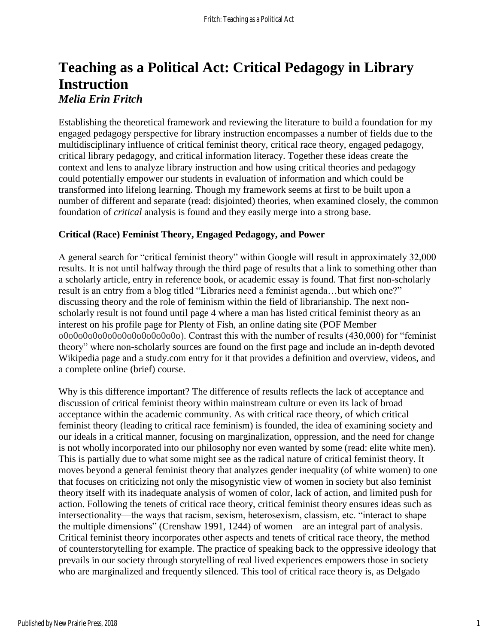## **Teaching as a Political Act: Critical Pedagogy in Library Instruction** *Melia Erin Fritch*

Establishing the theoretical framework and reviewing the literature to build a foundation for my engaged pedagogy perspective for library instruction encompasses a number of fields due to the multidisciplinary influence of critical feminist theory, critical race theory, engaged pedagogy, critical library pedagogy, and critical information literacy. Together these ideas create the context and lens to analyze library instruction and how using critical theories and pedagogy could potentially empower our students in evaluation of information and which could be transformed into lifelong learning. Though my framework seems at first to be built upon a number of different and separate (read: disjointed) theories, when examined closely, the common foundation of *critical* analysis is found and they easily merge into a strong base.

#### **Critical (Race) Feminist Theory, Engaged Pedagogy, and Power**

A general search for "critical feminist theory" within Google will result in approximately 32,000 results. It is not until halfway through the third page of results that a link to something other than a scholarly article, entry in reference book, or academic essay is found. That first non-scholarly result is an entry from a blog titled "Libraries need a feminist agenda…but which one?" discussing theory and the role of feminism within the field of librarianship. The next nonscholarly result is not found until page 4 where a man has listed critical feminist theory as an interest on his profile page for Plenty of Fish, an online dating site (POF Member o0o0o0o0o0o0o0o0o0o0o0o0o). Contrast this with the number of results (430,000) for "feminist theory" where non-scholarly sources are found on the first page and include an in-depth devoted Wikipedia page and a study.com entry for it that provides a definition and overview, videos, and a complete online (brief) course.

Why is this difference important? The difference of results reflects the lack of acceptance and discussion of critical feminist theory within mainstream culture or even its lack of broad acceptance within the academic community. As with critical race theory, of which critical feminist theory (leading to critical race feminism) is founded, the idea of examining society and our ideals in a critical manner, focusing on marginalization, oppression, and the need for change is not wholly incorporated into our philosophy nor even wanted by some (read: elite white men). This is partially due to what some might see as the radical nature of critical feminist theory. It moves beyond a general feminist theory that analyzes gender inequality (of white women) to one that focuses on criticizing not only the misogynistic view of women in society but also feminist theory itself with its inadequate analysis of women of color, lack of action, and limited push for action. Following the tenets of critical race theory, critical feminist theory ensures ideas such as intersectionality—the ways that racism, sexism, heterosexism, classism, etc. "interact to shape the multiple dimensions" (Crenshaw 1991, 1244) of women—are an integral part of analysis. Critical feminist theory incorporates other aspects and tenets of critical race theory, the method of counterstorytelling for example. The practice of speaking back to the oppressive ideology that prevails in our society through storytelling of real lived experiences empowers those in society who are marginalized and frequently silenced. This tool of critical race theory is, as Delgado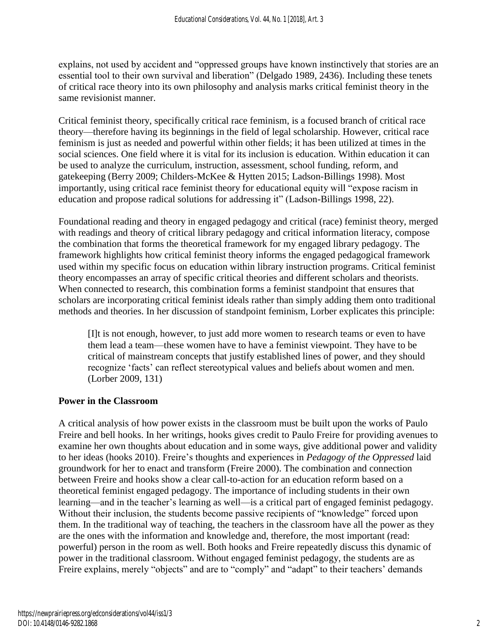explains, not used by accident and "oppressed groups have known instinctively that stories are an essential tool to their own survival and liberation" (Delgado 1989, 2436). Including these tenets of critical race theory into its own philosophy and analysis marks critical feminist theory in the same revisionist manner.

Critical feminist theory, specifically critical race feminism, is a focused branch of critical race theory—therefore having its beginnings in the field of legal scholarship. However, critical race feminism is just as needed and powerful within other fields; it has been utilized at times in the social sciences. One field where it is vital for its inclusion is education. Within education it can be used to analyze the curriculum, instruction, assessment, school funding, reform, and gatekeeping (Berry 2009; Childers-McKee & Hytten 2015; Ladson-Billings 1998). Most importantly, using critical race feminist theory for educational equity will "expose racism in education and propose radical solutions for addressing it" (Ladson-Billings 1998, 22).

Foundational reading and theory in engaged pedagogy and critical (race) feminist theory, merged with readings and theory of critical library pedagogy and critical information literacy, compose the combination that forms the theoretical framework for my engaged library pedagogy. The framework highlights how critical feminist theory informs the engaged pedagogical framework used within my specific focus on education within library instruction programs. Critical feminist theory encompasses an array of specific critical theories and different scholars and theorists. When connected to research, this combination forms a feminist standpoint that ensures that scholars are incorporating critical feminist ideals rather than simply adding them onto traditional methods and theories. In her discussion of standpoint feminism, Lorber explicates this principle:

[I]t is not enough, however, to just add more women to research teams or even to have them lead a team—these women have to have a feminist viewpoint. They have to be critical of mainstream concepts that justify established lines of power, and they should recognize 'facts' can reflect stereotypical values and beliefs about women and men. (Lorber 2009, 131)

#### **Power in the Classroom**

A critical analysis of how power exists in the classroom must be built upon the works of Paulo Freire and bell hooks. In her writings, hooks gives credit to Paulo Freire for providing avenues to examine her own thoughts about education and in some ways, give additional power and validity to her ideas (hooks 2010). Freire's thoughts and experiences in *Pedagogy of the Oppressed* laid groundwork for her to enact and transform (Freire 2000). The combination and connection between Freire and hooks show a clear call-to-action for an education reform based on a theoretical feminist engaged pedagogy. The importance of including students in their own learning—and in the teacher's learning as well—is a critical part of engaged feminist pedagogy. Without their inclusion, the students become passive recipients of "knowledge" forced upon them. In the traditional way of teaching, the teachers in the classroom have all the power as they are the ones with the information and knowledge and, therefore, the most important (read: powerful) person in the room as well. Both hooks and Freire repeatedly discuss this dynamic of power in the traditional classroom. Without engaged feminist pedagogy, the students are as Freire explains, merely "objects" and are to "comply" and "adapt" to their teachers' demands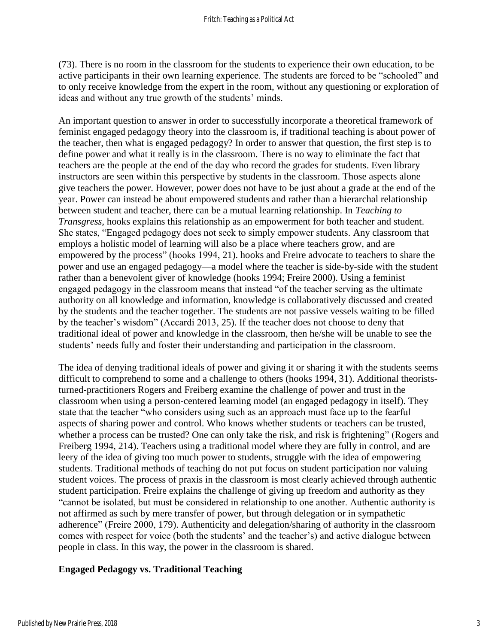(73). There is no room in the classroom for the students to experience their own education, to be active participants in their own learning experience. The students are forced to be "schooled" and to only receive knowledge from the expert in the room, without any questioning or exploration of ideas and without any true growth of the students' minds.

An important question to answer in order to successfully incorporate a theoretical framework of feminist engaged pedagogy theory into the classroom is, if traditional teaching is about power of the teacher, then what is engaged pedagogy? In order to answer that question, the first step is to define power and what it really is in the classroom. There is no way to eliminate the fact that teachers are the people at the end of the day who record the grades for students. Even library instructors are seen within this perspective by students in the classroom. Those aspects alone give teachers the power. However, power does not have to be just about a grade at the end of the year. Power can instead be about empowered students and rather than a hierarchal relationship between student and teacher, there can be a mutual learning relationship. In *Teaching to Transgress,* hooks explains this relationship as an empowerment for both teacher and student. She states, "Engaged pedagogy does not seek to simply empower students. Any classroom that employs a holistic model of learning will also be a place where teachers grow, and are empowered by the process" (hooks 1994, 21). hooks and Freire advocate to teachers to share the power and use an engaged pedagogy—a model where the teacher is side-by-side with the student rather than a benevolent giver of knowledge (hooks 1994; Freire 2000). Using a feminist engaged pedagogy in the classroom means that instead "of the teacher serving as the ultimate authority on all knowledge and information, knowledge is collaboratively discussed and created by the students and the teacher together. The students are not passive vessels waiting to be filled by the teacher's wisdom" (Accardi 2013, 25). If the teacher does not choose to deny that traditional ideal of power and knowledge in the classroom, then he/she will be unable to see the students' needs fully and foster their understanding and participation in the classroom.

The idea of denying traditional ideals of power and giving it or sharing it with the students seems difficult to comprehend to some and a challenge to others (hooks 1994, 31). Additional theoriststurned-practitioners Rogers and Freiberg examine the challenge of power and trust in the classroom when using a person-centered learning model (an engaged pedagogy in itself). They state that the teacher "who considers using such as an approach must face up to the fearful aspects of sharing power and control. Who knows whether students or teachers can be trusted, whether a process can be trusted? One can only take the risk, and risk is frightening" (Rogers and Freiberg 1994, 214). Teachers using a traditional model where they are fully in control, and are leery of the idea of giving too much power to students, struggle with the idea of empowering students. Traditional methods of teaching do not put focus on student participation nor valuing student voices. The process of praxis in the classroom is most clearly achieved through authentic student participation. Freire explains the challenge of giving up freedom and authority as they "cannot be isolated, but must be considered in relationship to one another. Authentic authority is not affirmed as such by mere transfer of power, but through delegation or in sympathetic adherence" (Freire 2000, 179). Authenticity and delegation/sharing of authority in the classroom comes with respect for voice (both the students' and the teacher's) and active dialogue between people in class. In this way, the power in the classroom is shared.

#### **Engaged Pedagogy vs. Traditional Teaching**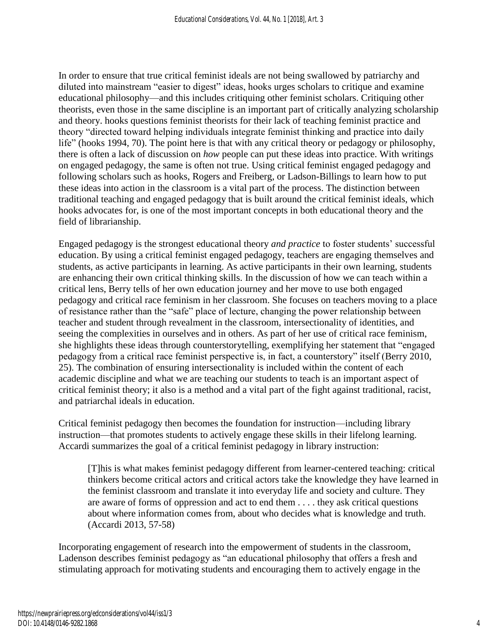In order to ensure that true critical feminist ideals are not being swallowed by patriarchy and diluted into mainstream "easier to digest" ideas, hooks urges scholars to critique and examine educational philosophy—and this includes critiquing other feminist scholars. Critiquing other theorists, even those in the same discipline is an important part of critically analyzing scholarship and theory. hooks questions feminist theorists for their lack of teaching feminist practice and theory "directed toward helping individuals integrate feminist thinking and practice into daily life" (hooks 1994, 70). The point here is that with any critical theory or pedagogy or philosophy, there is often a lack of discussion on *how* people can put these ideas into practice. With writings on engaged pedagogy, the same is often not true. Using critical feminist engaged pedagogy and following scholars such as hooks, Rogers and Freiberg, or Ladson-Billings to learn how to put these ideas into action in the classroom is a vital part of the process. The distinction between traditional teaching and engaged pedagogy that is built around the critical feminist ideals, which hooks advocates for, is one of the most important concepts in both educational theory and the field of librarianship.

Engaged pedagogy is the strongest educational theory *and practice* to foster students' successful education. By using a critical feminist engaged pedagogy, teachers are engaging themselves and students, as active participants in learning. As active participants in their own learning, students are enhancing their own critical thinking skills. In the discussion of how we can teach within a critical lens, Berry tells of her own education journey and her move to use both engaged pedagogy and critical race feminism in her classroom. She focuses on teachers moving to a place of resistance rather than the "safe" place of lecture, changing the power relationship between teacher and student through revealment in the classroom, intersectionality of identities, and seeing the complexities in ourselves and in others. As part of her use of critical race feminism, she highlights these ideas through counterstorytelling, exemplifying her statement that "engaged pedagogy from a critical race feminist perspective is, in fact, a counterstory" itself (Berry 2010, 25). The combination of ensuring intersectionality is included within the content of each academic discipline and what we are teaching our students to teach is an important aspect of critical feminist theory; it also is a method and a vital part of the fight against traditional, racist, and patriarchal ideals in education.

Critical feminist pedagogy then becomes the foundation for instruction—including library instruction—that promotes students to actively engage these skills in their lifelong learning. Accardi summarizes the goal of a critical feminist pedagogy in library instruction:

[T]his is what makes feminist pedagogy different from learner-centered teaching: critical thinkers become critical actors and critical actors take the knowledge they have learned in the feminist classroom and translate it into everyday life and society and culture. They are aware of forms of oppression and act to end them . . . . they ask critical questions about where information comes from, about who decides what is knowledge and truth. (Accardi 2013, 57-58)

Incorporating engagement of research into the empowerment of students in the classroom, Ladenson describes feminist pedagogy as "an educational philosophy that offers a fresh and stimulating approach for motivating students and encouraging them to actively engage in the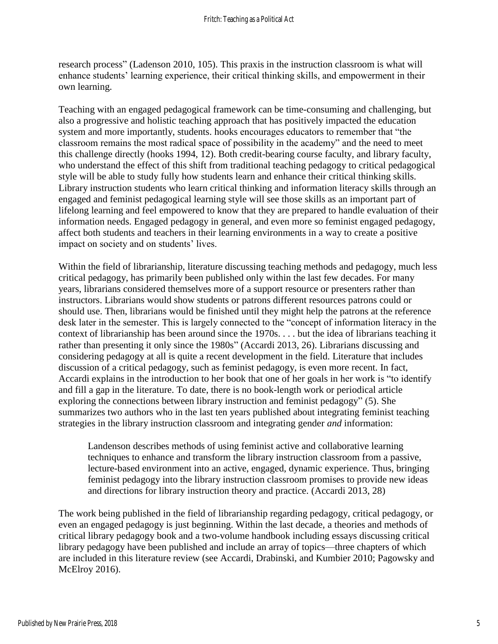research process" (Ladenson 2010, 105). This praxis in the instruction classroom is what will enhance students' learning experience, their critical thinking skills, and empowerment in their own learning.

Teaching with an engaged pedagogical framework can be time-consuming and challenging, but also a progressive and holistic teaching approach that has positively impacted the education system and more importantly, students. hooks encourages educators to remember that "the classroom remains the most radical space of possibility in the academy" and the need to meet this challenge directly (hooks 1994, 12). Both credit-bearing course faculty, and library faculty, who understand the effect of this shift from traditional teaching pedagogy to critical pedagogical style will be able to study fully how students learn and enhance their critical thinking skills. Library instruction students who learn critical thinking and information literacy skills through an engaged and feminist pedagogical learning style will see those skills as an important part of lifelong learning and feel empowered to know that they are prepared to handle evaluation of their information needs. Engaged pedagogy in general, and even more so feminist engaged pedagogy, affect both students and teachers in their learning environments in a way to create a positive impact on society and on students' lives.

Within the field of librarianship, literature discussing teaching methods and pedagogy, much less critical pedagogy, has primarily been published only within the last few decades. For many years, librarians considered themselves more of a support resource or presenters rather than instructors. Librarians would show students or patrons different resources patrons could or should use. Then, librarians would be finished until they might help the patrons at the reference desk later in the semester. This is largely connected to the "concept of information literacy in the context of librarianship has been around since the 1970s. . . . but the idea of librarians teaching it rather than presenting it only since the 1980s" (Accardi 2013, 26). Librarians discussing and considering pedagogy at all is quite a recent development in the field. Literature that includes discussion of a critical pedagogy, such as feminist pedagogy, is even more recent. In fact, Accardi explains in the introduction to her book that one of her goals in her work is "to identify and fill a gap in the literature. To date, there is no book-length work or periodical article exploring the connections between library instruction and feminist pedagogy" (5). She summarizes two authors who in the last ten years published about integrating feminist teaching strategies in the library instruction classroom and integrating gender *and* information:

Landenson describes methods of using feminist active and collaborative learning techniques to enhance and transform the library instruction classroom from a passive, lecture-based environment into an active, engaged, dynamic experience. Thus, bringing feminist pedagogy into the library instruction classroom promises to provide new ideas and directions for library instruction theory and practice. (Accardi 2013, 28)

The work being published in the field of librarianship regarding pedagogy, critical pedagogy, or even an engaged pedagogy is just beginning. Within the last decade, a theories and methods of critical library pedagogy book and a two-volume handbook including essays discussing critical library pedagogy have been published and include an array of topics—three chapters of which are included in this literature review (see Accardi, Drabinski, and Kumbier 2010; Pagowsky and McElroy 2016).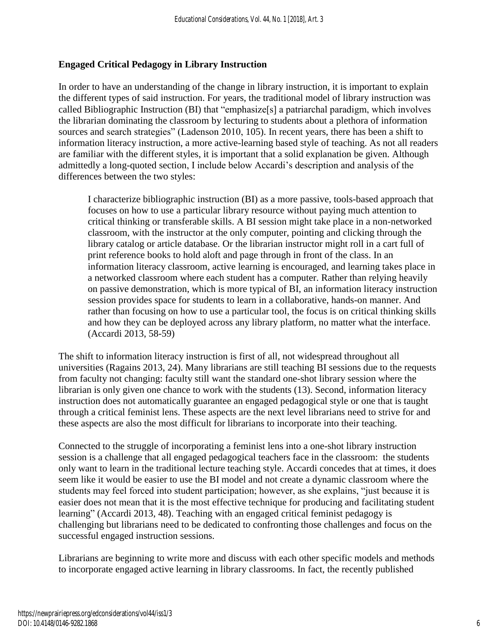## **Engaged Critical Pedagogy in Library Instruction**

In order to have an understanding of the change in library instruction, it is important to explain the different types of said instruction. For years, the traditional model of library instruction was called Bibliographic Instruction (BI) that "emphasize[s] a patriarchal paradigm, which involves the librarian dominating the classroom by lecturing to students about a plethora of information sources and search strategies" (Ladenson 2010, 105). In recent years, there has been a shift to information literacy instruction, a more active-learning based style of teaching. As not all readers are familiar with the different styles, it is important that a solid explanation be given. Although admittedly a long-quoted section, I include below Accardi's description and analysis of the differences between the two styles:

I characterize bibliographic instruction (BI) as a more passive, tools-based approach that focuses on how to use a particular library resource without paying much attention to critical thinking or transferable skills. A BI session might take place in a non-networked classroom, with the instructor at the only computer, pointing and clicking through the library catalog or article database. Or the librarian instructor might roll in a cart full of print reference books to hold aloft and page through in front of the class. In an information literacy classroom, active learning is encouraged, and learning takes place in a networked classroom where each student has a computer. Rather than relying heavily on passive demonstration, which is more typical of BI, an information literacy instruction session provides space for students to learn in a collaborative, hands-on manner. And rather than focusing on how to use a particular tool, the focus is on critical thinking skills and how they can be deployed across any library platform, no matter what the interface. (Accardi 2013, 58-59)

The shift to information literacy instruction is first of all, not widespread throughout all universities (Ragains 2013, 24). Many librarians are still teaching BI sessions due to the requests from faculty not changing: faculty still want the standard one-shot library session where the librarian is only given one chance to work with the students (13). Second, information literacy instruction does not automatically guarantee an engaged pedagogical style or one that is taught through a critical feminist lens. These aspects are the next level librarians need to strive for and these aspects are also the most difficult for librarians to incorporate into their teaching.

Connected to the struggle of incorporating a feminist lens into a one-shot library instruction session is a challenge that all engaged pedagogical teachers face in the classroom: the students only want to learn in the traditional lecture teaching style. Accardi concedes that at times, it does seem like it would be easier to use the BI model and not create a dynamic classroom where the students may feel forced into student participation; however, as she explains, "just because it is easier does not mean that it is the most effective technique for producing and facilitating student learning" (Accardi 2013, 48). Teaching with an engaged critical feminist pedagogy is challenging but librarians need to be dedicated to confronting those challenges and focus on the successful engaged instruction sessions.

Librarians are beginning to write more and discuss with each other specific models and methods to incorporate engaged active learning in library classrooms. In fact, the recently published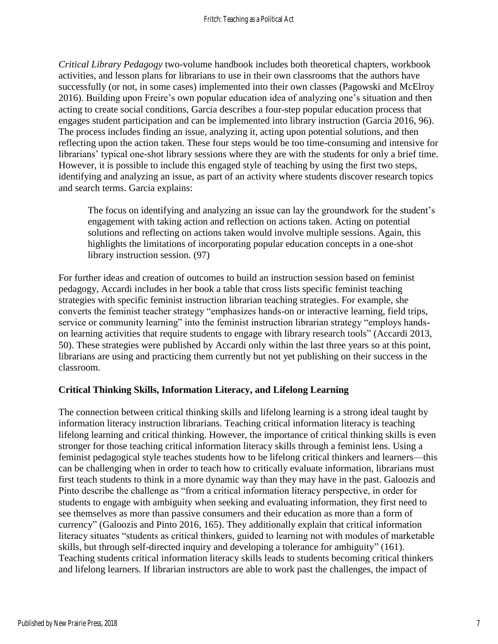*Critical Library Pedagogy* two-volume handbook includes both theoretical chapters, workbook activities, and lesson plans for librarians to use in their own classrooms that the authors have successfully (or not, in some cases) implemented into their own classes (Pagowski and McElroy 2016). Building upon Freire's own popular education idea of analyzing one's situation and then acting to create social conditions, Garcia describes a four-step popular education process that engages student participation and can be implemented into library instruction (Garcia 2016, 96). The process includes finding an issue, analyzing it, acting upon potential solutions, and then reflecting upon the action taken. These four steps would be too time-consuming and intensive for librarians' typical one-shot library sessions where they are with the students for only a brief time. However, it is possible to include this engaged style of teaching by using the first two steps, identifying and analyzing an issue, as part of an activity where students discover research topics and search terms. Garcia explains:

The focus on identifying and analyzing an issue can lay the groundwork for the student's engagement with taking action and reflection on actions taken. Acting on potential solutions and reflecting on actions taken would involve multiple sessions. Again, this highlights the limitations of incorporating popular education concepts in a one-shot library instruction session. (97)

For further ideas and creation of outcomes to build an instruction session based on feminist pedagogy, Accardi includes in her book a table that cross lists specific feminist teaching strategies with specific feminist instruction librarian teaching strategies. For example, she converts the feminist teacher strategy "emphasizes hands-on or interactive learning, field trips, service or community learning" into the feminist instruction librarian strategy "employs handson learning activities that require students to engage with library research tools" (Accardi 2013, 50). These strategies were published by Accardi only within the last three years so at this point, librarians are using and practicing them currently but not yet publishing on their success in the classroom.

#### **Critical Thinking Skills, Information Literacy, and Lifelong Learning**

The connection between critical thinking skills and lifelong learning is a strong ideal taught by information literacy instruction librarians. Teaching critical information literacy is teaching lifelong learning and critical thinking. However, the importance of critical thinking skills is even stronger for those teaching critical information literacy skills through a feminist lens. Using a feminist pedagogical style teaches students how to be lifelong critical thinkers and learners—this can be challenging when in order to teach how to critically evaluate information, librarians must first teach students to think in a more dynamic way than they may have in the past. Galoozis and Pinto describe the challenge as "from a critical information literacy perspective, in order for students to engage with ambiguity when seeking and evaluating information, they first need to see themselves as more than passive consumers and their education as more than a form of currency" (Galoozis and Pinto 2016, 165). They additionally explain that critical information literacy situates "students as critical thinkers, guided to learning not with modules of marketable skills, but through self-directed inquiry and developing a tolerance for ambiguity" (161). Teaching students critical information literacy skills leads to students becoming critical thinkers and lifelong learners. If librarian instructors are able to work past the challenges, the impact of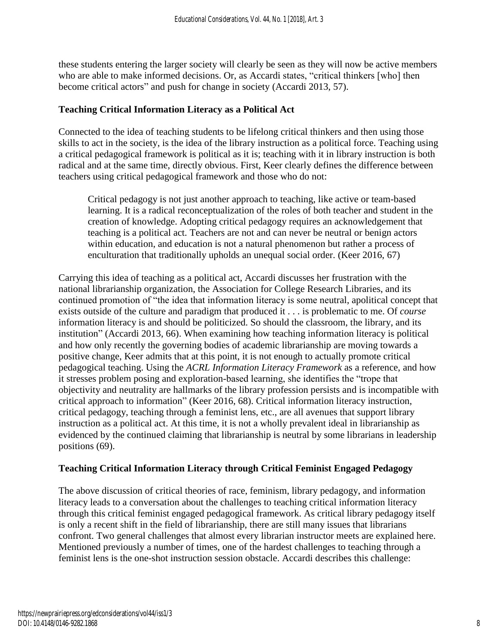these students entering the larger society will clearly be seen as they will now be active members who are able to make informed decisions. Or, as Accardi states, "critical thinkers [who] then become critical actors" and push for change in society (Accardi 2013, 57).

## **Teaching Critical Information Literacy as a Political Act**

Connected to the idea of teaching students to be lifelong critical thinkers and then using those skills to act in the society, is the idea of the library instruction as a political force. Teaching using a critical pedagogical framework is political as it is; teaching with it in library instruction is both radical and at the same time, directly obvious. First, Keer clearly defines the difference between teachers using critical pedagogical framework and those who do not:

Critical pedagogy is not just another approach to teaching, like active or team-based learning. It is a radical reconceptualization of the roles of both teacher and student in the creation of knowledge. Adopting critical pedagogy requires an acknowledgement that teaching is a political act. Teachers are not and can never be neutral or benign actors within education, and education is not a natural phenomenon but rather a process of enculturation that traditionally upholds an unequal social order. (Keer 2016, 67)

Carrying this idea of teaching as a political act, Accardi discusses her frustration with the national librarianship organization, the Association for College Research Libraries, and its continued promotion of "the idea that information literacy is some neutral, apolitical concept that exists outside of the culture and paradigm that produced it . . . is problematic to me. Of *course* information literacy is and should be politicized. So should the classroom, the library, and its institution" (Accardi 2013, 66). When examining how teaching information literacy is political and how only recently the governing bodies of academic librarianship are moving towards a positive change, Keer admits that at this point, it is not enough to actually promote critical pedagogical teaching. Using the *ACRL Information Literacy Framework* as a reference, and how it stresses problem posing and exploration-based learning, she identifies the "trope that objectivity and neutrality are hallmarks of the library profession persists and is incompatible with critical approach to information" (Keer 2016, 68). Critical information literacy instruction, critical pedagogy, teaching through a feminist lens, etc., are all avenues that support library instruction as a political act. At this time, it is not a wholly prevalent ideal in librarianship as evidenced by the continued claiming that librarianship is neutral by some librarians in leadership positions (69).

#### **Teaching Critical Information Literacy through Critical Feminist Engaged Pedagogy**

The above discussion of critical theories of race, feminism, library pedagogy, and information literacy leads to a conversation about the challenges to teaching critical information literacy through this critical feminist engaged pedagogical framework. As critical library pedagogy itself is only a recent shift in the field of librarianship, there are still many issues that librarians confront. Two general challenges that almost every librarian instructor meets are explained here. Mentioned previously a number of times, one of the hardest challenges to teaching through a feminist lens is the one-shot instruction session obstacle. Accardi describes this challenge: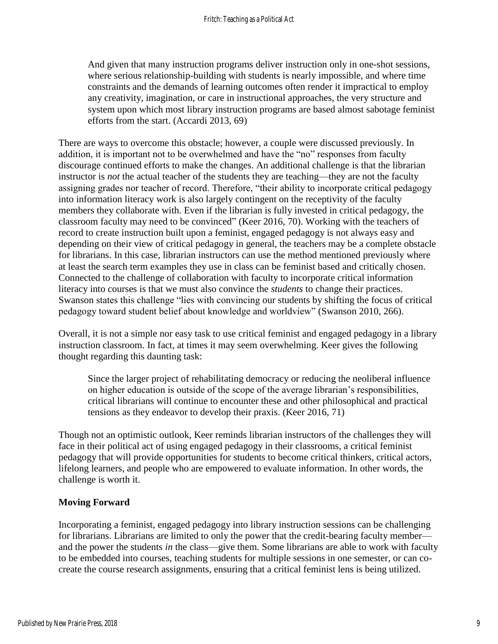And given that many instruction programs deliver instruction only in one-shot sessions, where serious relationship-building with students is nearly impossible, and where time constraints and the demands of learning outcomes often render it impractical to employ any creativity, imagination, or care in instructional approaches, the very structure and system upon which most library instruction programs are based almost sabotage feminist efforts from the start. (Accardi 2013, 69)

There are ways to overcome this obstacle; however, a couple were discussed previously. In addition, it is important not to be overwhelmed and have the "no" responses from faculty discourage continued efforts to make the changes. An additional challenge is that the librarian instructor is *not* the actual teacher of the students they are teaching—they are not the faculty assigning grades nor teacher of record. Therefore, "their ability to incorporate critical pedagogy into information literacy work is also largely contingent on the receptivity of the faculty members they collaborate with. Even if the librarian is fully invested in critical pedagogy, the classroom faculty may need to be convinced" (Keer 2016, 70). Working with the teachers of record to create instruction built upon a feminist, engaged pedagogy is not always easy and depending on their view of critical pedagogy in general, the teachers may be a complete obstacle for librarians. In this case, librarian instructors can use the method mentioned previously where at least the search term examples they use in class can be feminist based and critically chosen. Connected to the challenge of collaboration with faculty to incorporate critical information literacy into courses is that we must also convince the *students* to change their practices. Swanson states this challenge "lies with convincing our students by shifting the focus of critical pedagogy toward student belief about knowledge and worldview" (Swanson 2010, 266).

Overall, it is not a simple nor easy task to use critical feminist and engaged pedagogy in a library instruction classroom. In fact, at times it may seem overwhelming. Keer gives the following thought regarding this daunting task:

Since the larger project of rehabilitating democracy or reducing the neoliberal influence on higher education is outside of the scope of the average librarian's responsibilities, critical librarians will continue to encounter these and other philosophical and practical tensions as they endeavor to develop their praxis. (Keer 2016, 71)

Though not an optimistic outlook, Keer reminds librarian instructors of the challenges they will face in their political act of using engaged pedagogy in their classrooms, a critical feminist pedagogy that will provide opportunities for students to become critical thinkers, critical actors, lifelong learners, and people who are empowered to evaluate information. In other words, the challenge is worth it.

#### **Moving Forward**

Incorporating a feminist, engaged pedagogy into library instruction sessions can be challenging for librarians. Librarians are limited to only the power that the credit-bearing faculty member and the power the students *in* the class—give them. Some librarians are able to work with faculty to be embedded into courses, teaching students for multiple sessions in one semester, or can cocreate the course research assignments, ensuring that a critical feminist lens is being utilized.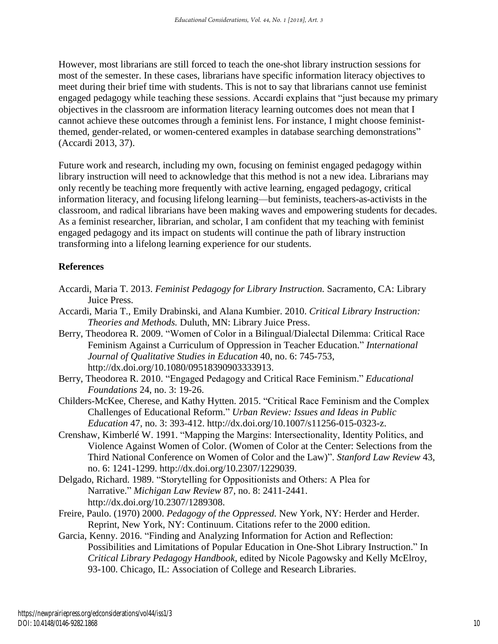However, most librarians are still forced to teach the one-shot library instruction sessions for most of the semester. In these cases, librarians have specific information literacy objectives to meet during their brief time with students. This is not to say that librarians cannot use feminist engaged pedagogy while teaching these sessions. Accardi explains that "just because my primary objectives in the classroom are information literacy learning outcomes does not mean that I cannot achieve these outcomes through a feminist lens. For instance, I might choose feministthemed, gender-related, or women-centered examples in database searching demonstrations" (Accardi 2013, 37).

Future work and research, including my own, focusing on feminist engaged pedagogy within library instruction will need to acknowledge that this method is not a new idea. Librarians may only recently be teaching more frequently with active learning, engaged pedagogy, critical information literacy, and focusing lifelong learning—but feminists, teachers-as-activists in the classroom, and radical librarians have been making waves and empowering students for decades. As a feminist researcher, librarian, and scholar, I am confident that my teaching with feminist engaged pedagogy and its impact on students will continue the path of library instruction transforming into a lifelong learning experience for our students.

#### **References**

- Accardi, Maria T. 2013. *Feminist Pedagogy for Library Instruction.* Sacramento, CA: Library Juice Press.
- Accardi, Maria T., Emily Drabinski, and Alana Kumbier. 2010. *Critical Library Instruction: Theories and Methods.* Duluth, MN: Library Juice Press.
- Berry, Theodorea R. 2009. "Women of Color in a Bilingual/Dialectal Dilemma: Critical Race Feminism Against a Curriculum of Oppression in Teacher Education." *International Journal of Qualitative Studies in Education* 40, no. 6: 745-753, http://dx.doi.org/10.1080/09518390903333913.
- Berry, Theodorea R. 2010. "Engaged Pedagogy and Critical Race Feminism." *Educational Foundations* 24, no. 3: 19-26.
- Childers-McKee, Cherese, and Kathy Hytten. 2015. "Critical Race Feminism and the Complex Challenges of Educational Reform." *Urban Review: Issues and Ideas in Public Education* 47, no. 3: 393-412. http://dx.doi.org/10.1007/s11256-015-0323-z.
- Crenshaw, Kimberlé W. 1991. "Mapping the Margins: Intersectionality, Identity Politics, and Violence Against Women of Color. (Women of Color at the Center: Selections from the Third National Conference on Women of Color and the Law)". *Stanford Law Review* 43, no. 6: 1241-1299. http://dx.doi.org/10.2307/1229039.
- Delgado, Richard. 1989. "Storytelling for Oppositionists and Others: A Plea for Narrative." *Michigan Law Review* 87, no. 8: 2411-2441. http://dx.doi.org/10.2307/1289308.
- Freire, Paulo. (1970) 2000. *Pedagogy of the Oppressed.* New York, NY: Herder and Herder. Reprint, New York, NY: Continuum. Citations refer to the 2000 edition.
- Garcia, Kenny. 2016. "Finding and Analyzing Information for Action and Reflection: Possibilities and Limitations of Popular Education in One-Shot Library Instruction." In *Critical Library Pedagogy Handbook*, edited by Nicole Pagowsky and Kelly McElroy, 93-100. Chicago, IL: Association of College and Research Libraries.